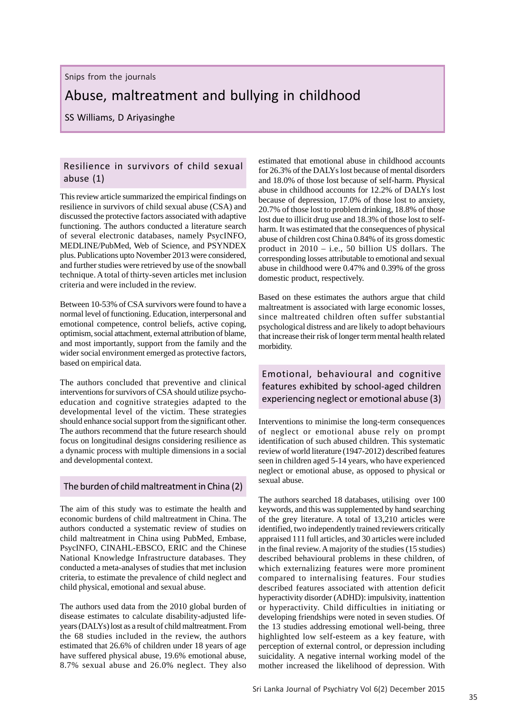Snips from the journals

# Abuse, maltreatment and bullying in childhood

SS Williams, D Ariyasinghe

#### Resilience in survivors of child sexual abuse (1)

This review article summarized the empirical findings on resilience in survivors of child sexual abuse (CSA) and discussed the protective factors associated with adaptive functioning. The authors conducted a literature search of several electronic databases, namely PsycINFO, MEDLINE/PubMed, Web of Science, and PSYNDEX plus. Publications upto November 2013 were considered, and further studies were retrieved by use of the snowball technique. A total of thirty-seven articles met inclusion criteria and were included in the review.

Between 10-53% of CSA survivors were found to have a normal level of functioning. Education, interpersonal and emotional competence, control beliefs, active coping, optimism, social attachment, external attribution of blame, and most importantly, support from the family and the wider social environment emerged as protective factors, based on empirical data.

The authors concluded that preventive and clinical interventions for survivors of CSA should utilize psychoeducation and cognitive strategies adapted to the developmental level of the victim. These strategies should enhance social support from the significant other. The authors recommend that the future research should focus on longitudinal designs considering resilience as a dynamic process with multiple dimensions in a social and developmental context.

#### The burden of child maltreatment in China (2)

The aim of this study was to estimate the health and economic burdens of child maltreatment in China. The authors conducted a systematic review of studies on child maltreatment in China using PubMed, Embase, PsycINFO, CINAHL-EBSCO, ERIC and the Chinese National Knowledge Infrastructure databases. They conducted a meta-analyses of studies that met inclusion criteria, to estimate the prevalence of child neglect and child physical, emotional and sexual abuse.

The authors used data from the 2010 global burden of disease estimates to calculate disability-adjusted lifeyears (DALYs) lost as a result of child maltreatment. From the 68 studies included in the review, the authors estimated that 26.6% of children under 18 years of age have suffered physical abuse, 19.6% emotional abuse, 8.7% sexual abuse and 26.0% neglect. They also estimated that emotional abuse in childhood accounts for 26.3% of the DALYs lost because of mental disorders and 18.0% of those lost because of self-harm. Physical abuse in childhood accounts for 12.2% of DALYs lost because of depression, 17.0% of those lost to anxiety, 20.7% of those lost to problem drinking, 18.8% of those lost due to illicit drug use and 18.3% of those lost to selfharm. It was estimated that the consequences of physical abuse of children cost China 0.84% of its gross domestic product in 2010 – i.e., 50 billion US dollars. The corresponding losses attributable to emotional and sexual abuse in childhood were 0.47% and 0.39% of the gross domestic product, respectively.

Based on these estimates the authors argue that child maltreatment is associated with large economic losses, since maltreated children often suffer substantial psychological distress and are likely to adopt behaviours that increase their risk of longer term mental health related morbidity.

## Emotional, behavioural and cognitive features exhibited by school-aged children experiencing neglect or emotional abuse (3)

Interventions to minimise the long-term consequences of neglect or emotional abuse rely on prompt identification of such abused children. This systematic review of world literature (1947-2012) described features seen in children aged 5-14 years, who have experienced neglect or emotional abuse, as opposed to physical or sexual abuse.

The authors searched 18 databases, utilising over 100 keywords, and this was supplemented by hand searching of the grey literature. A total of 13,210 articles were identified, two independently trained reviewers critically appraised 111 full articles, and 30 articles were included in the final review. A majority of the studies (15 studies) described behavioural problems in these children, of which externalizing features were more prominent compared to internalising features. Four studies described features associated with attention deficit hyperactivity disorder (ADHD): impulsivity, inattention or hyperactivity. Child difficulties in initiating or developing friendships were noted in seven studies. Of the 13 studies addressing emotional well-being, three highlighted low self-esteem as a key feature, with perception of external control, or depression including suicidality. A negative internal working model of the mother increased the likelihood of depression. With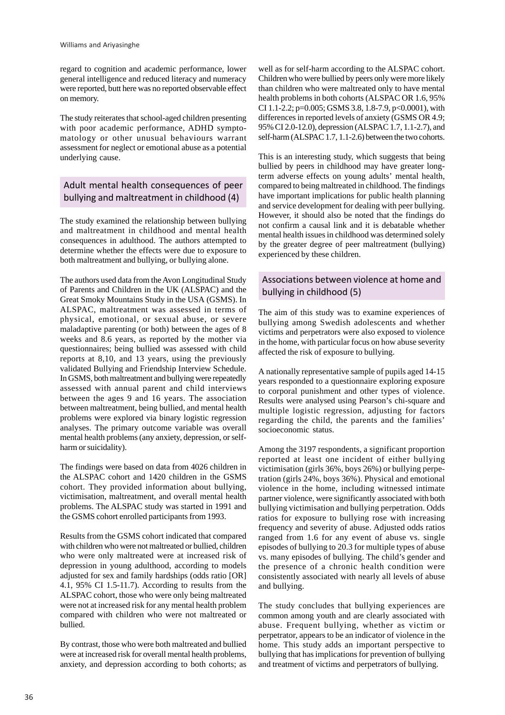regard to cognition and academic performance, lower general intelligence and reduced literacy and numeracy were reported, butt here was no reported observable effect on memory.

The study reiterates that school-aged children presenting with poor academic performance, ADHD symptomatology or other unusual behaviours warrant assessment for neglect or emotional abuse as a potential underlying cause.

## Adult mental health consequences of peer bullying and maltreatment in childhood (4)

The study examined the relationship between bullying and maltreatment in childhood and mental health consequences in adulthood. The authors attempted to determine whether the effects were due to exposure to both maltreatment and bullying, or bullying alone.

The authors used data from the Avon Longitudinal Study of Parents and Children in the UK (ALSPAC) and the Great Smoky Mountains Study in the USA (GSMS). In ALSPAC, maltreatment was assessed in terms of physical, emotional, or sexual abuse, or severe maladaptive parenting (or both) between the ages of 8 weeks and 8.6 years, as reported by the mother via questionnaires; being bullied was assessed with child reports at 8,10, and 13 years, using the previously validated Bullying and Friendship Interview Schedule. In GSMS, both maltreatment and bullying were repeatedly assessed with annual parent and child interviews between the ages 9 and 16 years. The association between maltreatment, being bullied, and mental health problems were explored via binary logistic regression analyses. The primary outcome variable was overall mental health problems (any anxiety, depression, or selfharm or suicidality).

The findings were based on data from 4026 children in the ALSPAC cohort and 1420 children in the GSMS cohort. They provided information about bullying, victimisation, maltreatment, and overall mental health problems. The ALSPAC study was started in 1991 and the GSMS cohort enrolled participants from 1993.

Results from the GSMS cohort indicated that compared with children who were not maltreated or bullied, children who were only maltreated were at increased risk of depression in young adulthood, according to models adjusted for sex and family hardships (odds ratio [OR] 4.1, 95% CI 1.5-11.7). According to results from the ALSPAC cohort, those who were only being maltreated were not at increased risk for any mental health problem compared with children who were not maltreated or bullied.

By contrast, those who were both maltreated and bullied were at increased risk for overall mental health problems, anxiety, and depression according to both cohorts; as well as for self-harm according to the ALSPAC cohort. Children who were bullied by peers only were more likely than children who were maltreated only to have mental health problems in both cohorts (ALSPAC OR 1.6, 95% CI 1.1-2.2; p=0.005; GSMS 3.8, 1.8-7.9, p<0.0001), with differences in reported levels of anxiety (GSMS OR 4.9; 95% CI 2.0-12.0), depression (ALSPAC 1.7, 1.1-2.7), and self-harm (ALSPAC 1.7, 1.1-2.6) between the two cohorts.

This is an interesting study, which suggests that being bullied by peers in childhood may have greater longterm adverse effects on young adults' mental health, compared to being maltreated in childhood. The findings have important implications for public health planning and service development for dealing with peer bullying. However, it should also be noted that the findings do not confirm a causal link and it is debatable whether mental health issues in childhood was determined solely by the greater degree of peer maltreatment (bullying) experienced by these children.

#### Associations between violence at home and bullying in childhood (5)

The aim of this study was to examine experiences of bullying among Swedish adolescents and whether victims and perpetrators were also exposed to violence in the home, with particular focus on how abuse severity affected the risk of exposure to bullying.

A nationally representative sample of pupils aged 14-15 years responded to a questionnaire exploring exposure to corporal punishment and other types of violence. Results were analysed using Pearson's chi-square and multiple logistic regression, adjusting for factors regarding the child, the parents and the families' socioeconomic status.

Among the 3197 respondents, a significant proportion reported at least one incident of either bullying victimisation (girls 36%, boys 26%) or bullying perpetration (girls 24%, boys 36%). Physical and emotional violence in the home, including witnessed intimate partner violence, were significantly associated with both bullying victimisation and bullying perpetration. Odds ratios for exposure to bullying rose with increasing frequency and severity of abuse. Adjusted odds ratios ranged from 1.6 for any event of abuse vs. single episodes of bullying to 20.3 for multiple types of abuse vs. many episodes of bullying. The child's gender and the presence of a chronic health condition were consistently associated with nearly all levels of abuse and bullying.

The study concludes that bullying experiences are common among youth and are clearly associated with abuse. Frequent bullying, whether as victim or perpetrator, appears to be an indicator of violence in the home. This study adds an important perspective to bullying that has implications for prevention of bullying and treatment of victims and perpetrators of bullying.